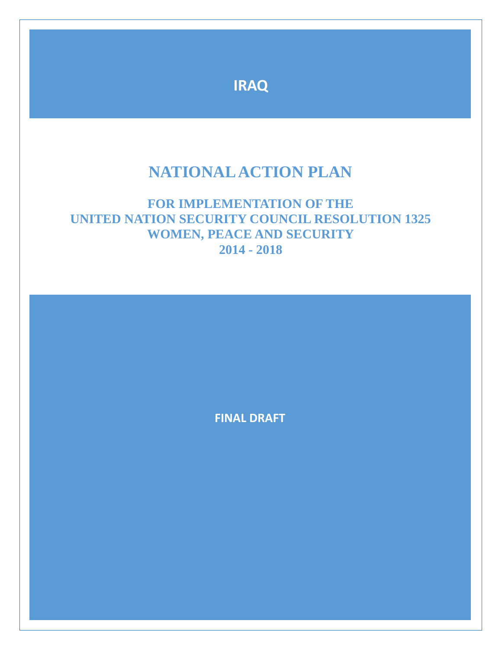

# **NATIONAL ACTION PLAN**

# **FOR IMPLEMENTATION OF THE UNITED NATION SECURITY COUNCIL RESOLUTION 1325 WOMEN, PEACE AND SECURITY 2014 - 2018**

**FINAL DRAFT**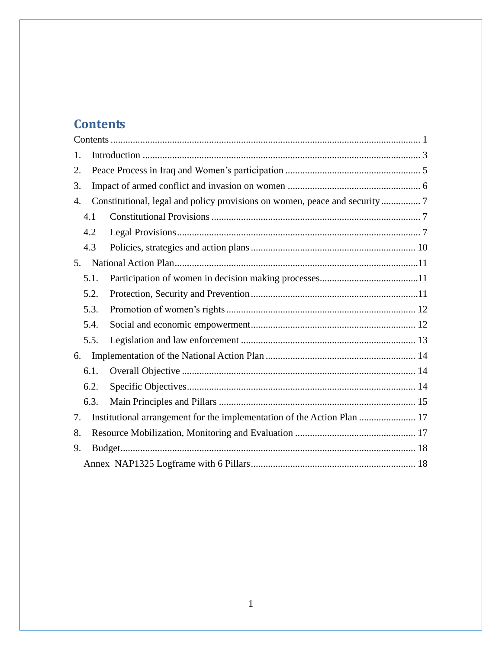# <span id="page-1-0"></span>**Contents**

| 1.   |                                                                            |  |
|------|----------------------------------------------------------------------------|--|
| 2.   |                                                                            |  |
| 3.   |                                                                            |  |
| 4.   | Constitutional, legal and policy provisions on women, peace and security 7 |  |
| 4.1  |                                                                            |  |
| 4.2  |                                                                            |  |
| 4.3  |                                                                            |  |
| 5.   |                                                                            |  |
| 5.1. |                                                                            |  |
| 5.2. |                                                                            |  |
| 5.3. |                                                                            |  |
| 5.4. |                                                                            |  |
| 5.5. |                                                                            |  |
| 6.   |                                                                            |  |
| 6.1. |                                                                            |  |
| 6.2. |                                                                            |  |
| 6.3. |                                                                            |  |
| 7.   | Institutional arrangement for the implementation of the Action Plan  17    |  |
| 8.   |                                                                            |  |
| 9.   |                                                                            |  |
|      |                                                                            |  |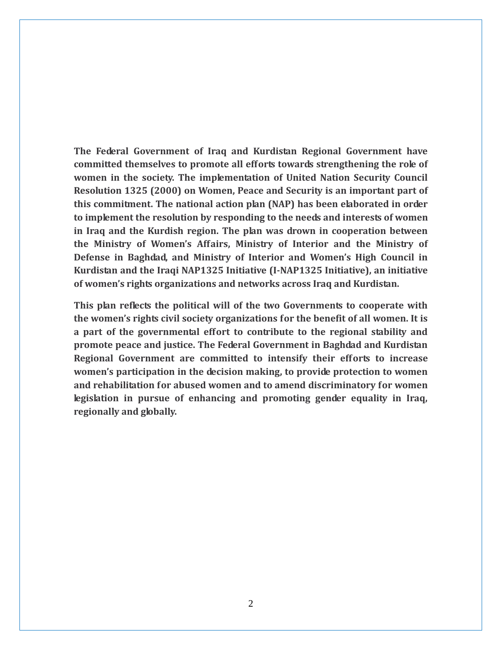**The Federal Government of Iraq and Kurdistan Regional Government have committed themselves to promote all efforts towards strengthening the role of women in the society. The implementation of United Nation Security Council Resolution 1325 (2000) on Women, Peace and Security is an important part of this commitment. The national action plan (NAP) has been elaborated in order to implement the resolution by responding to the needs and interests of women in Iraq and the Kurdish region. The plan was drown in cooperation between the Ministry of Women's Affairs, Ministry of Interior and the Ministry of Defense in Baghdad, and Ministry of Interior and Women's High Council in Kurdistan and the Iraqi NAP1325 Initiative (I-NAP1325 Initiative), an initiative of women's rights organizations and networks across Iraq and Kurdistan.** 

**This plan reflects the political will of the two Governments to cooperate with the women's rights civil society organizations for the benefit of all women. It is a part of the governmental effort to contribute to the regional stability and promote peace and justice. The Federal Government in Baghdad and Kurdistan Regional Government are committed to intensify their efforts to increase women's participation in the decision making, to provide protection to women and rehabilitation for abused women and to amend discriminatory for women legislation in pursue of enhancing and promoting gender equality in Iraq, regionally and globally.**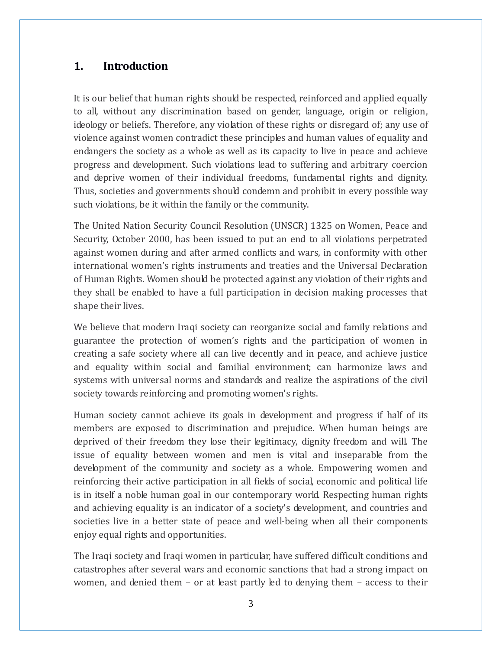## <span id="page-3-0"></span>**1. Introduction**

It is our belief that human rights should be respected, reinforced and applied equally to all, without any discrimination based on gender, language, origin or religion, ideology or beliefs. Therefore, any violation of these rights or disregard of; any use of violence against women contradict these principles and human values of equality and endangers the society as a whole as well as its capacity to live in peace and achieve progress and development. Such violations lead to suffering and arbitrary coercion and deprive women of their individual freedoms, fundamental rights and dignity. Thus, societies and governments should condemn and prohibit in every possible way such violations, be it within the family or the community.

The United Nation Security Council Resolution (UNSCR) 1325 on Women, Peace and Security, October 2000, has been issued to put an end to all violations perpetrated against women during and after armed conflicts and wars, in conformity with other international women's rights instruments and treaties and the Universal Declaration of Human Rights. Women should be protected against any violation of their rights and they shall be enabled to have a full participation in decision making processes that shape their lives.

We believe that modern Iraqi society can reorganize social and family relations and guarantee the protection of women's rights and the participation of women in creating a safe society where all can live decently and in peace, and achieve justice and equality within social and familial environment; can harmonize laws and systems with universal norms and standards and realize the aspirations of the civil society towards reinforcing and promoting women's rights.

Human society cannot achieve its goals in development and progress if half of its members are exposed to discrimination and prejudice. When human beings are deprived of their freedom they lose their legitimacy, dignity freedom and will. The issue of equality between women and men is vital and inseparable from the development of the community and society as a whole. Empowering women and reinforcing their active participation in all fields of social, economic and political life is in itself a noble human goal in our contemporary world. Respecting human rights and achieving equality is an indicator of a society's development, and countries and societies live in a better state of peace and well-being when all their components enjoy equal rights and opportunities.

The Iraqi society and Iraqi women in particular, have suffered difficult conditions and catastrophes after several wars and economic sanctions that had a strong impact on women, and denied them – or at least partly led to denying them – access to their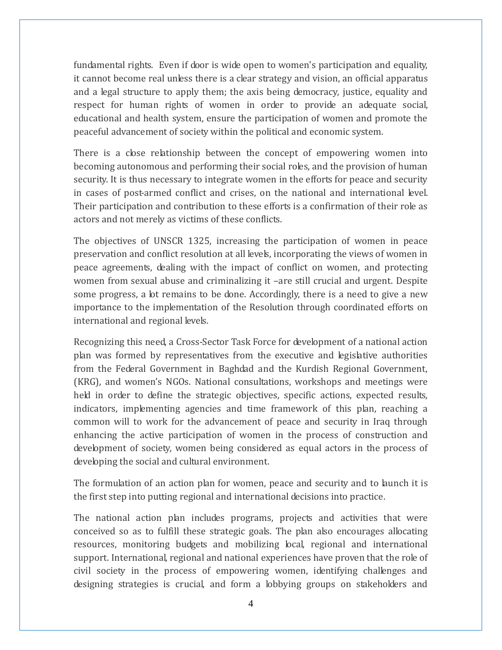fundamental rights. Even if door is wide open to women's participation and equality, it cannot become real unless there is a clear strategy and vision, an official apparatus and a legal structure to apply them; the axis being democracy, justice, equality and respect for human rights of women in order to provide an adequate social, educational and health system, ensure the participation of women and promote the peaceful advancement of society within the political and economic system.

There is a close relationship between the concept of empowering women into becoming autonomous and performing their social roles, and the provision of human security. It is thus necessary to integrate women in the efforts for peace and security in cases of post-armed conflict and crises, on the national and international level. Their participation and contribution to these efforts is a confirmation of their role as actors and not merely as victims of these conflicts.

The objectives of UNSCR 1325, increasing the participation of women in peace preservation and conflict resolution at all levels, incorporating the views of women in peace agreements, dealing with the impact of conflict on women, and protecting women from sexual abuse and criminalizing it –are still crucial and urgent. Despite some progress, a lot remains to be done. Accordingly, there is a need to give a new importance to the implementation of the Resolution through coordinated efforts on international and regional levels.

Recognizing this need, a Cross-Sector Task Force for development of a national action plan was formed by representatives from the executive and legislative authorities from the Federal Government in Baghdad and the Kurdish Regional Government, (KRG), and women's NGOs. National consultations, workshops and meetings were held in order to define the strategic objectives, specific actions, expected results, indicators, implementing agencies and time framework of this plan, reaching a common will to work for the advancement of peace and security in Iraq through enhancing the active participation of women in the process of construction and development of society, women being considered as equal actors in the process of developing the social and cultural environment.

The formulation of an action plan for women, peace and security and to launch it is the first step into putting regional and international decisions into practice.

The national action plan includes programs, projects and activities that were conceived so as to fulfill these strategic goals. The plan also encourages allocating resources, monitoring budgets and mobilizing local, regional and international support. International, regional and national experiences have proven that the role of civil society in the process of empowering women, identifying challenges and designing strategies is crucial, and form a lobbying groups on stakeholders and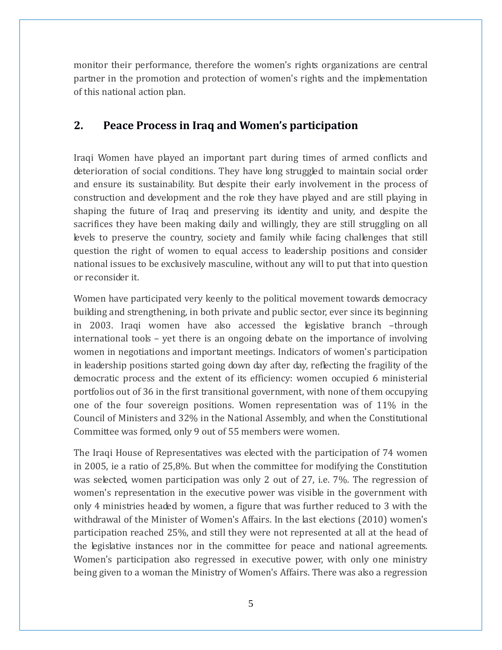monitor their performance, therefore the women's rights organizations are central partner in the promotion and protection of women's rights and the implementation of this national action plan.

## <span id="page-5-0"></span>**2. Peace Process in Iraq and Women's participation**

Iraqi Women have played an important part during times of armed conflicts and deterioration of social conditions. They have long struggled to maintain social order and ensure its sustainability. But despite their early involvement in the process of construction and development and the role they have played and are still playing in shaping the future of Iraq and preserving its identity and unity, and despite the sacrifices they have been making daily and willingly, they are still struggling on all levels to preserve the country, society and family while facing challenges that still question the right of women to equal access to leadership positions and consider national issues to be exclusively masculine, without any will to put that into question or reconsider it.

Women have participated very keenly to the political movement towards democracy building and strengthening, in both private and public sector, ever since its beginning in 2003. Iraqi women have also accessed the legislative branch –through international tools – yet there is an ongoing debate on the importance of involving women in negotiations and important meetings. Indicators of women's participation in leadership positions started going down day after day, reflecting the fragility of the democratic process and the extent of its efficiency: women occupied 6 ministerial portfolios out of 36 in the first transitional government, with none of them occupying one of the four sovereign positions. Women representation was of 11% in the Council of Ministers and 32% in the National Assembly, and when the Constitutional Committee was formed, only 9 out of 55 members were women.

The Iraqi House of Representatives was elected with the participation of 74 women in 2005, ie a ratio of 25,8%. But when the committee for modifying the Constitution was selected, women participation was only 2 out of 27, i.e. 7%. The regression of women's representation in the executive power was visible in the government with only 4 ministries headed by women, a figure that was further reduced to 3 with the withdrawal of the Minister of Women's Affairs. In the last elections (2010) women's participation reached 25%, and still they were not represented at all at the head of the legislative instances nor in the committee for peace and national agreements. Women's participation also regressed in executive power, with only one ministry being given to a woman the Ministry of Women's Affairs. There was also a regression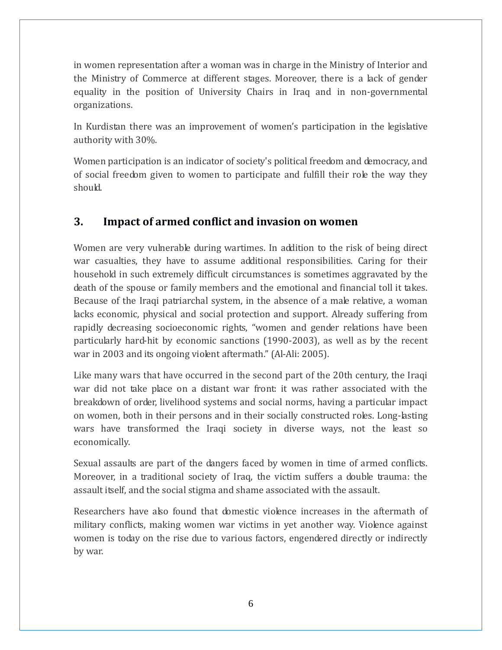in women representation after a woman was in charge in the Ministry of Interior and the Ministry of Commerce at different stages. Moreover, there is a lack of gender equality in the position of University Chairs in Iraq and in non-governmental organizations.

In Kurdistan there was an improvement of women's participation in the legislative authority with 30%.

Women participation is an indicator of society's political freedom and democracy, and of social freedom given to women to participate and fulfill their role the way they should.

## <span id="page-6-0"></span>**3. Impact of armed conflict and invasion on women**

Women are very vulnerable during wartimes. In addition to the risk of being direct war casualties, they have to assume additional responsibilities. Caring for their household in such extremely difficult circumstances is sometimes aggravated by the death of the spouse or family members and the emotional and financial toll it takes. Because of the Iraqi patriarchal system, in the absence of a male relative, a woman lacks economic, physical and social protection and support. Already suffering from rapidly decreasing socioeconomic rights, "women and gender relations have been particularly hard-hit by economic sanctions (1990-2003), as well as by the recent war in 2003 and its ongoing violent aftermath." (Al-Ali: 2005).

Like many wars that have occurred in the second part of the 20th century, the Iraqi war did not take place on a distant war front: it was rather associated with the breakdown of order, livelihood systems and social norms, having a particular impact on women, both in their persons and in their socially constructed roles. Long-lasting wars have transformed the Iraqi society in diverse ways, not the least so economically.

Sexual assaults are part of the dangers faced by women in time of armed conflicts. Moreover, in a traditional society of Iraq, the victim suffers a double trauma: the assault itself, and the social stigma and shame associated with the assault.

Researchers have also found that domestic violence increases in the aftermath of military conflicts, making women war victims in yet another way. Violence against women is today on the rise due to various factors, engendered directly or indirectly by war.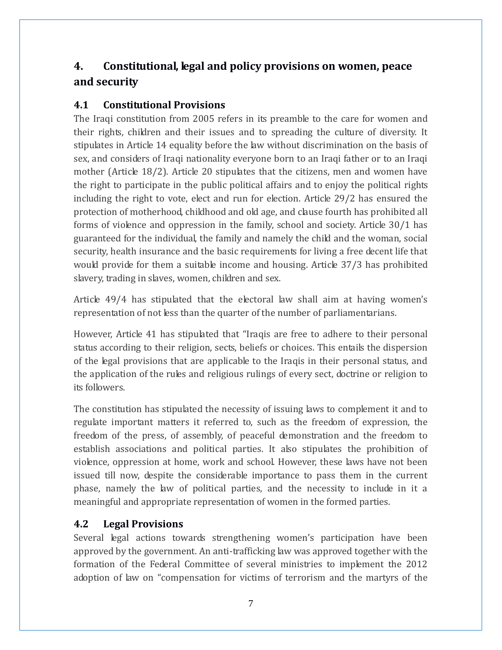## <span id="page-7-0"></span>**4. Constitutional, legal and policy provisions on women, peace and security**

## <span id="page-7-1"></span>**4.1 Constitutional Provisions**

The Iraqi constitution from 2005 refers in its preamble to the care for women and their rights, children and their issues and to spreading the culture of diversity. It stipulates in Article 14 equality before the law without discrimination on the basis of sex, and considers of Iraqi nationality everyone born to an Iraqi father or to an Iraqi mother (Article 18/2). Article 20 stipulates that the citizens, men and women have the right to participate in the public political affairs and to enjoy the political rights including the right to vote, elect and run for election. Article 29/2 has ensured the protection of motherhood, childhood and old age, and clause fourth has prohibited all forms of violence and oppression in the family, school and society. Article 30/1 has guaranteed for the individual, the family and namely the child and the woman, social security, health insurance and the basic requirements for living a free decent life that would provide for them a suitable income and housing. Article 37/3 has prohibited slavery, trading in slaves, women, children and sex.

Article 49/4 has stipulated that the electoral law shall aim at having women's representation of not less than the quarter of the number of parliamentarians.

However, Article 41 has stipulated that "Iraqis are free to adhere to their personal status according to their religion, sects, beliefs or choices. This entails the dispersion of the legal provisions that are applicable to the Iraqis in their personal status, and the application of the rules and religious rulings of every sect, doctrine or religion to its followers.

The constitution has stipulated the necessity of issuing laws to complement it and to regulate important matters it referred to, such as the freedom of expression, the freedom of the press, of assembly, of peaceful demonstration and the freedom to establish associations and political parties. It also stipulates the prohibition of violence, oppression at home, work and school. However, these laws have not been issued till now, despite the considerable importance to pass them in the current phase, namely the law of political parties, and the necessity to include in it a meaningful and appropriate representation of women in the formed parties.

## <span id="page-7-2"></span>**4.2 Legal Provisions**

Several legal actions towards strengthening women's participation have been approved by the government. An anti-trafficking law was approved together with the formation of the Federal Committee of several ministries to implement the 2012 adoption of law on "compensation for victims of terrorism and the martyrs of the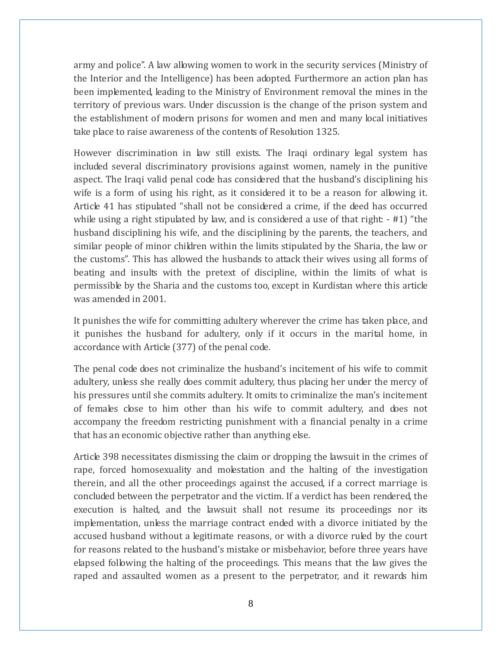army and police". A law allowing women to work in the security services (Ministry of the Interior and the Intelligence) has been adopted. Furthermore an action plan has been implemented, leading to the Ministry of Environment removal the mines in the territory of previous wars. Under discussion is the change of the prison system and the establishment of modern prisons for women and men and many local initiatives take place to raise awareness of the contents of Resolution 1325.

However discrimination in law still exists. The Iraqi ordinary legal system has included several discriminatory provisions against women, namely in the punitive aspect. The Iraqi valid penal code has considered that the husband's disciplining his wife is a form of using his right, as it considered it to be a reason for allowing it. Article 41 has stipulated "shall not be considered a crime, if the deed has occurred while using a right stipulated by law, and is considered a use of that right:  $-$  #1) "the husband disciplining his wife, and the disciplining by the parents, the teachers, and similar people of minor children within the limits stipulated by the Sharia, the law or the customs". This has allowed the husbands to attack their wives using all forms of beating and insults with the pretext of discipline, within the limits of what is permissible by the Sharia and the customs too, except in Kurdistan where this article was amended in 2001.

It punishes the wife for committing adultery wherever the crime has taken place, and it punishes the husband for adultery, only if it occurs in the marital home, in accordance with Article (377) of the penal code.

The penal code does not criminalize the husband's incitement of his wife to commit adultery, unless she really does commit adultery, thus placing her under the mercy of his pressures until she commits adultery. It omits to criminalize the man's incitement of females close to him other than his wife to commit adultery, and does not accompany the freedom restricting punishment with a financial penalty in a crime that has an economic objective rather than anything else.

Article 398 necessitates dismissing the claim or dropping the lawsuit in the crimes of rape, forced homosexuality and molestation and the halting of the investigation therein, and all the other proceedings against the accused, if a correct marriage is concluded between the perpetrator and the victim. If a verdict has been rendered, the execution is halted, and the lawsuit shall not resume its proceedings nor its implementation, unless the marriage contract ended with a divorce initiated by the accused husband without a legitimate reasons, or with a divorce ruled by the court for reasons related to the husband's mistake or misbehavior, before three years have elapsed following the halting of the proceedings. This means that the law gives the raped and assaulted women as a present to the perpetrator, and it rewards him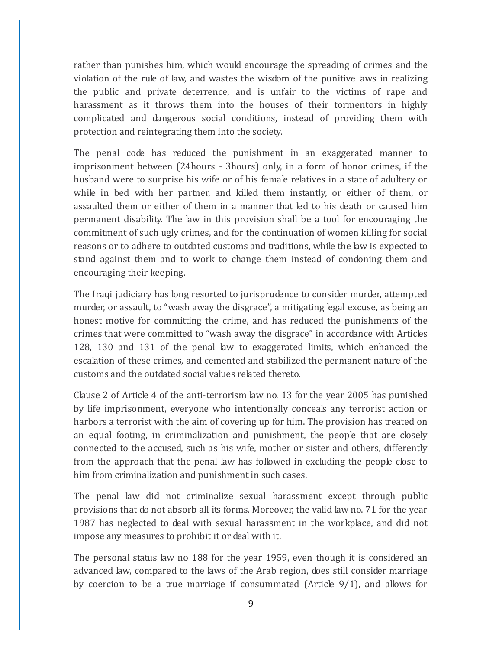rather than punishes him, which would encourage the spreading of crimes and the violation of the rule of law, and wastes the wisdom of the punitive laws in realizing the public and private deterrence, and is unfair to the victims of rape and harassment as it throws them into the houses of their tormentors in highly complicated and dangerous social conditions, instead of providing them with protection and reintegrating them into the society.

The penal code has reduced the punishment in an exaggerated manner to imprisonment between (24hours - 3hours) only, in a form of honor crimes, if the husband were to surprise his wife or of his female relatives in a state of adultery or while in bed with her partner, and killed them instantly, or either of them, or assaulted them or either of them in a manner that led to his death or caused him permanent disability. The law in this provision shall be a tool for encouraging the commitment of such ugly crimes, and for the continuation of women killing for social reasons or to adhere to outdated customs and traditions, while the law is expected to stand against them and to work to change them instead of condoning them and encouraging their keeping.

The Iraqi judiciary has long resorted to jurisprudence to consider murder, attempted murder, or assault, to "wash away the disgrace", a mitigating legal excuse, as being an honest motive for committing the crime, and has reduced the punishments of the crimes that were committed to "wash away the disgrace" in accordance with Articles 128, 130 and 131 of the penal law to exaggerated limits, which enhanced the escalation of these crimes, and cemented and stabilized the permanent nature of the customs and the outdated social values related thereto.

Clause 2 of Article 4 of the anti-terrorism law no. 13 for the year 2005 has punished by life imprisonment, everyone who intentionally conceals any terrorist action or harbors a terrorist with the aim of covering up for him. The provision has treated on an equal footing, in criminalization and punishment, the people that are closely connected to the accused, such as his wife, mother or sister and others, differently from the approach that the penal law has followed in excluding the people close to him from criminalization and punishment in such cases.

The penal law did not criminalize sexual harassment except through public provisions that do not absorb all its forms. Moreover, the valid law no. 71 for the year 1987 has neglected to deal with sexual harassment in the workplace, and did not impose any measures to prohibit it or deal with it.

The personal status law no 188 for the year 1959, even though it is considered an advanced law, compared to the laws of the Arab region, does still consider marriage by coercion to be a true marriage if consummated (Article 9/1), and allows for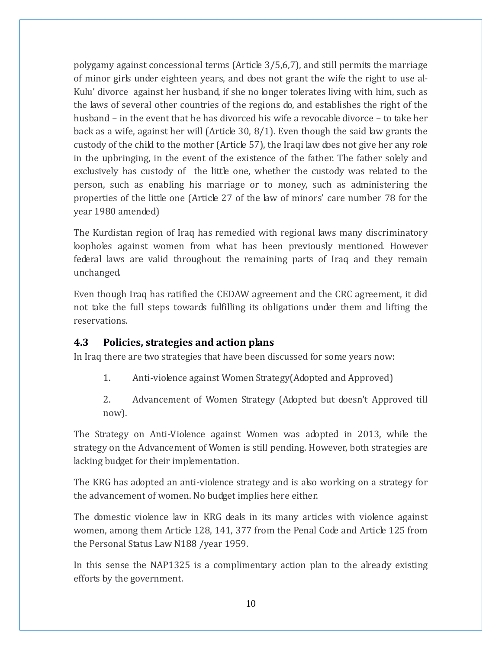polygamy against concessional terms (Article  $3/5,6,7$ ), and still permits the marriage of minor girls under eighteen years, and does not grant the wife the right to use al-Kulu' divorce against her husband, if she no longer tolerates living with him, such as the laws of several other countries of the regions do, and establishes the right of the husband – in the event that he has divorced his wife a revocable divorce – to take her back as a wife, against her will (Article 30, 8/1). Even though the said law grants the custody of the child to the mother (Article 57), the Iraqi law does not give her any role in the upbringing, in the event of the existence of the father. The father solely and exclusively has custody of the little one, whether the custody was related to the person, such as enabling his marriage or to money, such as administering the properties of the little one (Article 27 of the law of minors' care number 78 for the year 1980 amended)

The Kurdistan region of Iraq has remedied with regional laws many discriminatory loopholes against women from what has been previously mentioned. However federal laws are valid throughout the remaining parts of Iraq and they remain unchanged.

Even though Iraq has ratified the CEDAW agreement and the CRC agreement, it did not take the full steps towards fulfilling its obligations under them and lifting the reservations.

#### <span id="page-10-0"></span>**4.3 Policies, strategies and action plans**

In Iraq there are two strategies that have been discussed for some years now:

- 1. Anti-violence against Women Strategy(Adopted and Approved)
- 2. Advancement of Women Strategy (Adopted but doesn't Approved till now).

The Strategy on Anti-Violence against Women was adopted in 2013, while the strategy on the Advancement of Women is still pending. However, both strategies are lacking budget for their implementation.

The KRG has adopted an anti-violence strategy and is also working on a strategy for the advancement of women. No budget implies here either.

The domestic violence law in KRG deals in its many articles with violence against women, among them Article 128, 141, 377 from the Penal Code and Article 125 from the Personal Status Law N188 /year 1959.

In this sense the NAP1325 is a complimentary action plan to the already existing efforts by the government.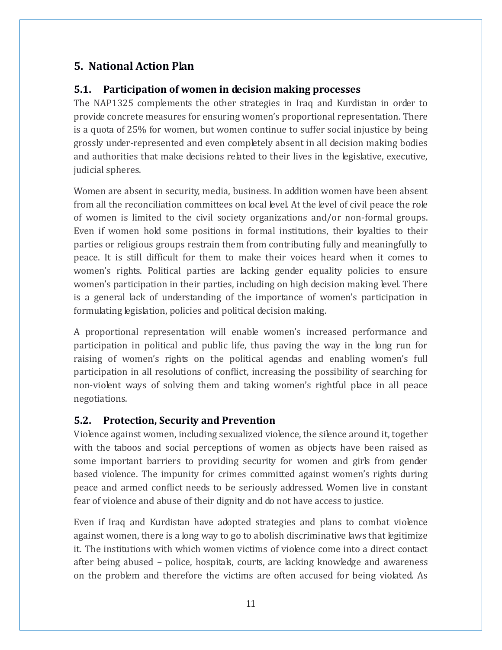## <span id="page-11-0"></span>**5. National Action Plan**

## <span id="page-11-1"></span>**5.1. Participation of women in decision making processes**

The NAP1325 complements the other strategies in Iraq and Kurdistan in order to provide concrete measures for ensuring women's proportional representation. There is a quota of 25% for women, but women continue to suffer social injustice by being grossly under-represented and even completely absent in all decision making bodies and authorities that make decisions related to their lives in the legislative, executive, judicial spheres.

Women are absent in security, media, business. In addition women have been absent from all the reconciliation committees on local level. At the level of civil peace the role of women is limited to the civil society organizations and/or non-formal groups. Even if women hold some positions in formal institutions, their loyalties to their parties or religious groups restrain them from contributing fully and meaningfully to peace. It is still difficult for them to make their voices heard when it comes to women's rights. Political parties are lacking gender equality policies to ensure women's participation in their parties, including on high decision making level. There is a general lack of understanding of the importance of women's participation in formulating legislation, policies and political decision making.

A proportional representation will enable women's increased performance and participation in political and public life, thus paving the way in the long run for raising of women's rights on the political agendas and enabling women's full participation in all resolutions of conflict, increasing the possibility of searching for non-violent ways of solving them and taking women's rightful place in all peace negotiations.

#### <span id="page-11-2"></span>**5.2. Protection, Security and Prevention**

Violence against women, including sexualized violence, the silence around it, together with the taboos and social perceptions of women as objects have been raised as some important barriers to providing security for women and girls from gender based violence. The impunity for crimes committed against women's rights during peace and armed conflict needs to be seriously addressed. Women live in constant fear of violence and abuse of their dignity and do not have access to justice.

Even if Iraq and Kurdistan have adopted strategies and plans to combat violence against women, there is a long way to go to abolish discriminative laws that legitimize it. The institutions with which women victims of violence come into a direct contact after being abused – police, hospitals, courts, are lacking knowledge and awareness on the problem and therefore the victims are often accused for being violated. As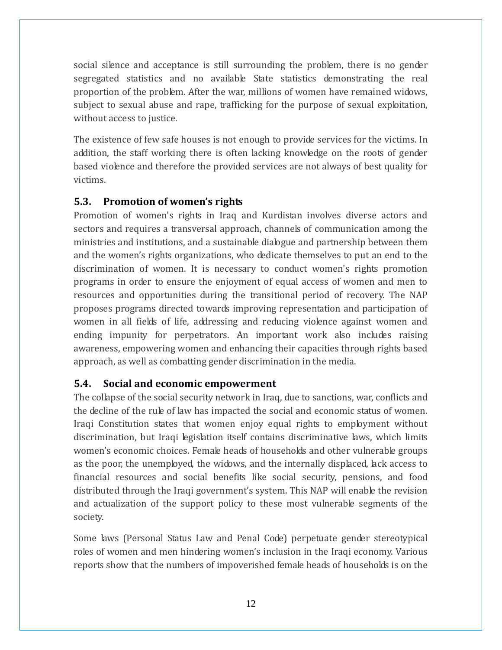social silence and acceptance is still surrounding the problem, there is no gender segregated statistics and no available State statistics demonstrating the real proportion of the problem. After the war, millions of women have remained widows, subject to sexual abuse and rape, trafficking for the purpose of sexual exploitation, without access to justice.

The existence of few safe houses is not enough to provide services for the victims. In addition, the staff working there is often lacking knowledge on the roots of gender based violence and therefore the provided services are not always of best quality for victims.

## <span id="page-12-0"></span>**5.3. Promotion of women's rights**

Promotion of women's rights in Iraq and Kurdistan involves diverse actors and sectors and requires a transversal approach, channels of communication among the ministries and institutions, and a sustainable dialogue and partnership between them and the women's rights organizations, who dedicate themselves to put an end to the discrimination of women. It is necessary to conduct women's rights promotion programs in order to ensure the enjoyment of equal access of women and men to resources and opportunities during the transitional period of recovery. The NAP proposes programs directed towards improving representation and participation of women in all fields of life, addressing and reducing violence against women and ending impunity for perpetrators. An important work also includes raising awareness, empowering women and enhancing their capacities through rights based approach, as well as combatting gender discrimination in the media.

#### <span id="page-12-1"></span>**5.4. Social and economic empowerment**

The collapse of the social security network in Iraq, due to sanctions, war, conflicts and the decline of the rule of law has impacted the social and economic status of women. Iraqi Constitution states that women enjoy equal rights to employment without discrimination, but Iraqi legislation itself contains discriminative laws, which limits women's economic choices. Female heads of households and other vulnerable groups as the poor, the unemployed, the widows, and the internally displaced, lack access to financial resources and social benefits like social security, pensions, and food distributed through the Iraqi government's system. This NAP will enable the revision and actualization of the support policy to these most vulnerable segments of the society.

Some laws (Personal Status Law and Penal Code) perpetuate gender stereotypical roles of women and men hindering women's inclusion in the Iraqi economy. Various reports show that the numbers of impoverished female heads of households is on the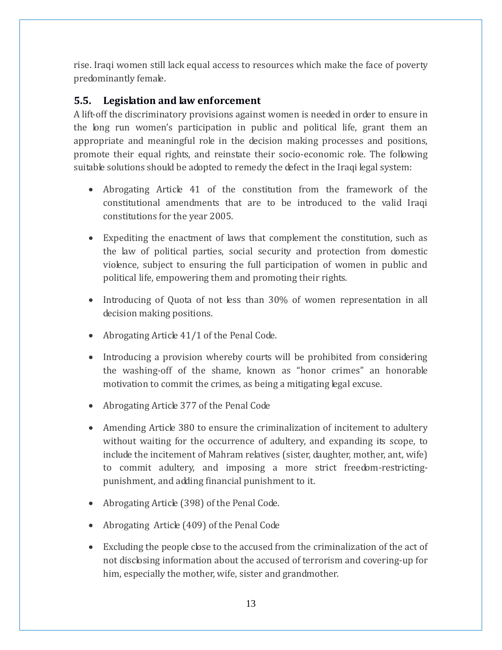rise. Iraqi women still lack equal access to resources which make the face of poverty predominantly female.

## <span id="page-13-0"></span>**5.5. Legislation and law enforcement**

A lift-off the discriminatory provisions against women is needed in order to ensure in the long run women's participation in public and political life, grant them an appropriate and meaningful role in the decision making processes and positions, promote their equal rights, and reinstate their socio-economic role. The following suitable solutions should be adopted to remedy the defect in the Iraqi legal system:

- Abrogating Article 41 of the constitution from the framework of the constitutional amendments that are to be introduced to the valid Iraqi constitutions for the year 2005.
- Expediting the enactment of laws that complement the constitution, such as the law of political parties, social security and protection from domestic violence, subject to ensuring the full participation of women in public and political life, empowering them and promoting their rights.
- Introducing of Quota of not less than 30% of women representation in all decision making positions.
- Abrogating Article 41/1 of the Penal Code.
- Introducing a provision whereby courts will be prohibited from considering the washing-off of the shame, known as "honor crimes" an honorable motivation to commit the crimes, as being a mitigating legal excuse.
- Abrogating Article 377 of the Penal Code
- Amending Article 380 to ensure the criminalization of incitement to adultery without waiting for the occurrence of adultery, and expanding its scope, to include the incitement of Mahram relatives (sister, daughter, mother, ant, wife) to commit adultery, and imposing a more strict freedom-restrictingpunishment, and adding financial punishment to it.
- Abrogating Article (398) of the Penal Code.
- Abrogating Article (409) of the Penal Code
- Excluding the people close to the accused from the criminalization of the act of not disclosing information about the accused of terrorism and covering-up for him, especially the mother, wife, sister and grandmother.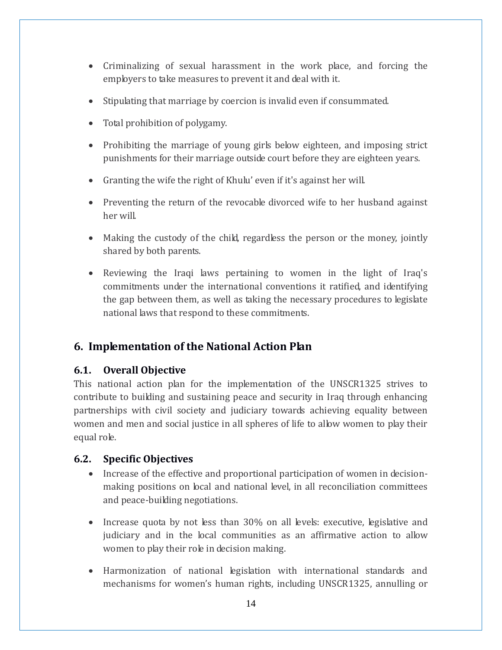- Criminalizing of sexual harassment in the work place, and forcing the employers to take measures to prevent it and deal with it.
- Stipulating that marriage by coercion is invalid even if consummated.
- Total prohibition of polygamy.
- Prohibiting the marriage of young girls below eighteen, and imposing strict punishments for their marriage outside court before they are eighteen years.
- Granting the wife the right of Khulu' even if it's against her will.
- Preventing the return of the revocable divorced wife to her husband against her will.
- Making the custody of the child, regardless the person or the money, jointly shared by both parents.
- Reviewing the Iraqi laws pertaining to women in the light of Iraq's commitments under the international conventions it ratified, and identifying the gap between them, as well as taking the necessary procedures to legislate national laws that respond to these commitments.

## <span id="page-14-0"></span>**6. Implementation of the National Action Plan**

#### <span id="page-14-1"></span>**6.1. Overall Objective**

This national action plan for the implementation of the UNSCR1325 strives to contribute to building and sustaining peace and security in Iraq through enhancing partnerships with civil society and judiciary towards achieving equality between women and men and social justice in all spheres of life to allow women to play their equal role.

## <span id="page-14-2"></span>**6.2. Specific Objectives**

- Increase of the effective and proportional participation of women in decisionmaking positions on local and national level, in all reconciliation committees and peace-building negotiations.
- Increase quota by not less than 30% on all levels: executive, legislative and judiciary and in the local communities as an affirmative action to allow women to play their role in decision making.
- Harmonization of national legislation with international standards and mechanisms for women's human rights, including UNSCR1325, annulling or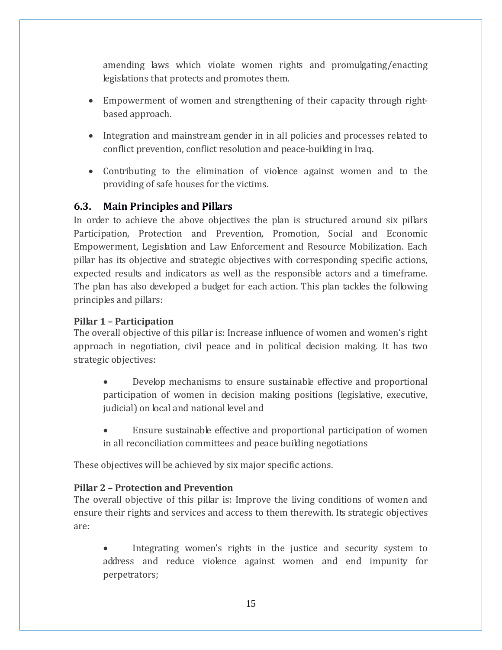amending laws which violate women rights and promulgating/enacting legislations that protects and promotes them.

- Empowerment of women and strengthening of their capacity through rightbased approach.
- Integration and mainstream gender in in all policies and processes related to conflict prevention, conflict resolution and peace-building in Iraq.
- Contributing to the elimination of violence against women and to the providing of safe houses for the victims.

### <span id="page-15-0"></span>**6.3. Main Principles and Pillars**

In order to achieve the above objectives the plan is structured around six pillars Participation, Protection and Prevention, Promotion, Social and Economic Empowerment, Legislation and Law Enforcement and Resource Mobilization. Each pillar has its objective and strategic objectives with corresponding specific actions, expected results and indicators as well as the responsible actors and a timeframe. The plan has also developed a budget for each action. This plan tackles the following principles and pillars:

#### **Pillar 1 – Participation**

The overall objective of this pillar is: Increase influence of women and women's right approach in negotiation, civil peace and in political decision making. It has two strategic objectives:

- Develop mechanisms to ensure sustainable effective and proportional participation of women in decision making positions (legislative, executive, judicial) on local and national level and
- Ensure sustainable effective and proportional participation of women in all reconciliation committees and peace building negotiations

These objectives will be achieved by six major specific actions.

#### **Pillar 2 – Protection and Prevention**

The overall objective of this pillar is: Improve the living conditions of women and ensure their rights and services and access to them therewith. Its strategic objectives are:

 Integrating women's rights in the justice and security system to address and reduce violence against women and end impunity for perpetrators;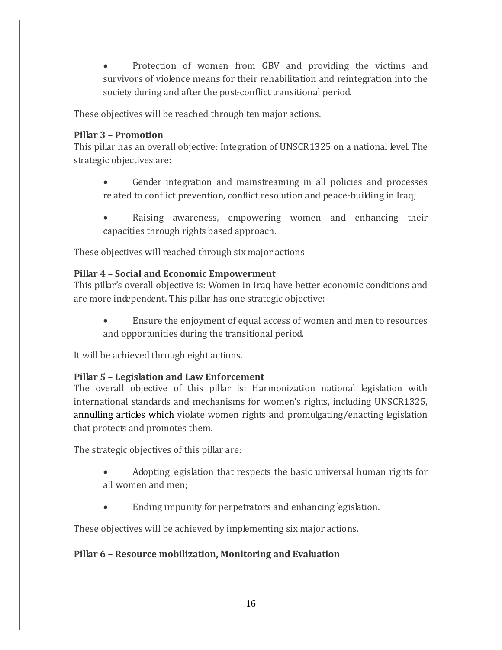• Protection of women from GBV and providing the victims and survivors of violence means for their rehabilitation and reintegration into the society during and after the post-conflict transitional period.

These objectives will be reached through ten major actions.

#### **Pillar 3 – Promotion**

This pillar has an overall objective: Integration of UNSCR1325 on a national level. The strategic objectives are:

- Gender integration and mainstreaming in all policies and processes related to conflict prevention, conflict resolution and peace-building in Iraq;
- Raising awareness, empowering women and enhancing their capacities through rights based approach.

These objectives will reached through six major actions

#### **Pillar 4 – Social and Economic Empowerment**

This pillar's overall objective is: Women in Iraq have better economic conditions and are more independent. This pillar has one strategic objective:

 Ensure the enjoyment of equal access of women and men to resources and opportunities during the transitional period.

It will be achieved through eight actions.

#### **Pillar 5 – Legislation and Law Enforcement**

The overall objective of this pillar is: Harmonization national legislation with international standards and mechanisms for women's rights, including UNSCR1325, annulling articles which violate women rights and promulgating/enacting legislation that protects and promotes them.

The strategic objectives of this pillar are:

- Adopting legislation that respects the basic universal human rights for all women and men;
- Ending impunity for perpetrators and enhancing legislation.

These objectives will be achieved by implementing six major actions.

#### **Pillar 6 – Resource mobilization, Monitoring and Evaluation**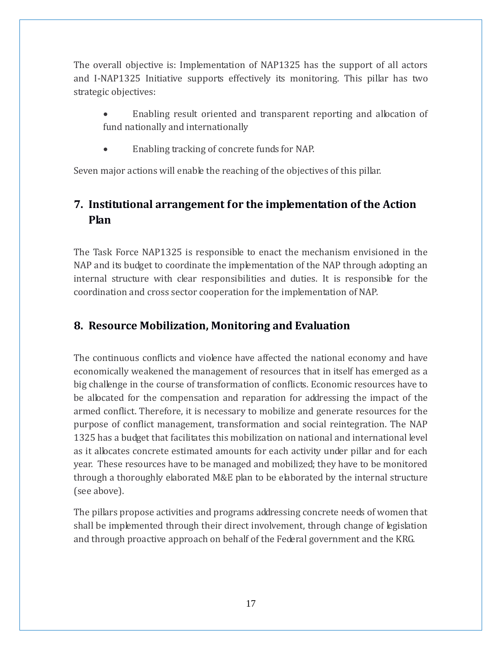The overall objective is: Implementation of NAP1325 has the support of all actors and I-NAP1325 Initiative supports effectively its monitoring. This pillar has two strategic objectives:

- Enabling result oriented and transparent reporting and allocation of fund nationally and internationally
- Enabling tracking of concrete funds for NAP.

Seven major actions will enable the reaching of the objectives of this pillar.

## <span id="page-17-0"></span>**7. Institutional arrangement for the implementation of the Action Plan**

The Task Force NAP1325 is responsible to enact the mechanism envisioned in the NAP and its budget to coordinate the implementation of the NAP through adopting an internal structure with clear responsibilities and duties. It is responsible for the coordination and cross sector cooperation for the implementation of NAP.

## <span id="page-17-1"></span>**8. Resource Mobilization, Monitoring and Evaluation**

The continuous conflicts and violence have affected the national economy and have economically weakened the management of resources that in itself has emerged as a big challenge in the course of transformation of conflicts. Economic resources have to be allocated for the compensation and reparation for addressing the impact of the armed conflict. Therefore, it is necessary to mobilize and generate resources for the purpose of conflict management, transformation and social reintegration. The NAP 1325 has a budget that facilitates this mobilization on national and international level as it allocates concrete estimated amounts for each activity under pillar and for each year. These resources have to be managed and mobilized; they have to be monitored through a thoroughly elaborated M&E plan to be elaborated by the internal structure (see above).

The pillars propose activities and programs addressing concrete needs of women that shall be implemented through their direct involvement, through change of legislation and through proactive approach on behalf of the Federal government and the KRG.